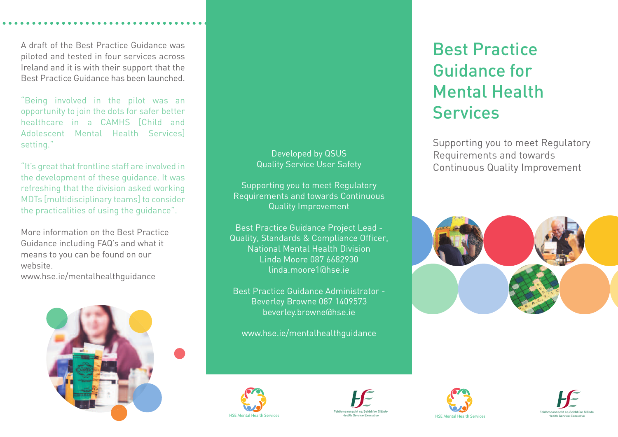A draft of the Best Practice Guidance was piloted and tested in four services across Ireland and it is with their support that the Best Practice Guidance has been launched.

"Being involved in the pilot was an opportunity to join the dots for safer better healthcare in a CAMHS [Child and Adolescent Mental Health Services] setting."

"It's great that frontline staff are involved in the development of these guidance. It was refreshing that the division asked working MDTs [multidisciplinary teams] to consider the practicalities of using the guidance".

More information on the Best Practice Guidance including FAQ's and what it means to you can be found on our website.

www.hse.ie/mentalhealthguidance



## Developed by QSUS Quality Service User Safety

Supporting you to meet Regulatory Requirements and towards Continuous Quality Improvement

Best Practice Guidance Project Lead - Quality, Standards & Compliance Officer, National Mental Health Division Linda Moore 087 6682930 linda.moore1@hse.ie

Best Practice Guidance Administrator - Beverley Browne 087 1409573 beverley.browne@hse.ie

www.hse.ie/mentalhealthguidance



Best Practice

Guidance for

Services

Mental Health











HSE Mental Health Services